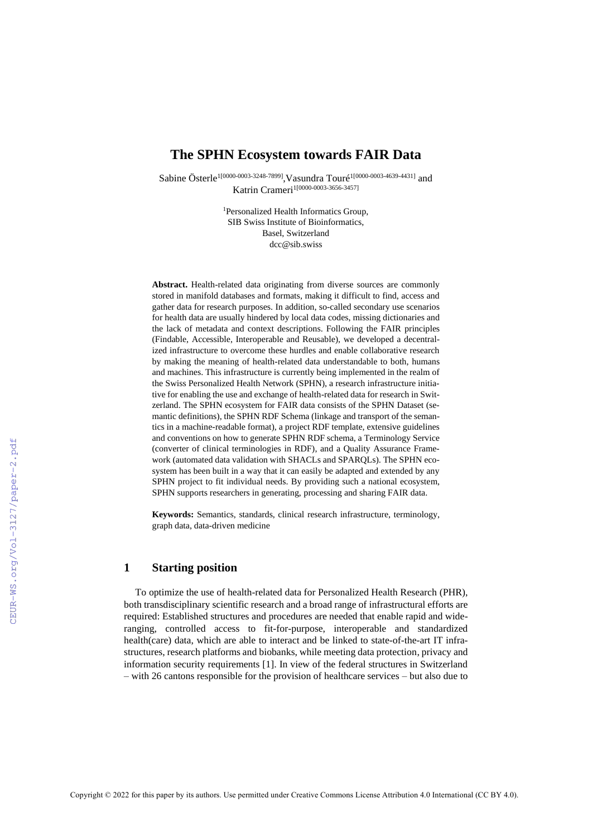## **The SPHN Ecosystem towards FAIR Data**

Sabine Österle<sup>1[0000-0003-3248-7899]</sup>, Vasundra Touré<sup>1[0000-0003-4639-4431]</sup> and Katrin Crameri<sup>1[0000-0003-3656-3457]</sup>

> <sup>1</sup>Personalized Health Informatics Group, SIB Swiss Institute of Bioinformatics, Basel, Switzerland dcc@sib.swiss

**Abstract.** Health-related data originating from diverse sources are commonly stored in manifold databases and formats, making it difficult to find, access and gather data for research purposes. In addition, so-called secondary use scenarios for health data are usually hindered by local data codes, missing dictionaries and the lack of metadata and context descriptions. Following the FAIR principles (Findable, Accessible, Interoperable and Reusable), we developed a decentralized infrastructure to overcome these hurdles and enable collaborative research by making the meaning of health-related data understandable to both, humans and machines. This infrastructure is currently being implemented in the realm of the Swiss Personalized Health Network (SPHN), a research infrastructure initiative for enabling the use and exchange of health-related data for research in Switzerland. The SPHN ecosystem for FAIR data consists of the SPHN Dataset (semantic definitions), the SPHN RDF Schema (linkage and transport of the semantics in a machine-readable format), a project RDF template, extensive guidelines and conventions on how to generate SPHN RDF schema, a Terminology Service (converter of clinical terminologies in RDF), and a Quality Assurance Framework (automated data validation with SHACLs and SPARQLs). The SPHN ecosystem has been built in a way that it can easily be adapted and extended by any SPHN project to fit individual needs. By providing such a national ecosystem, SPHN supports researchers in generating, processing and sharing FAIR data.

**Keywords:** Semantics, standards, clinical research infrastructure, terminology, graph data, data-driven medicine

### **1 Starting position**

To optimize the use of health-related data for Personalized Health Research (PHR), both transdisciplinary scientific research and a broad range of infrastructural efforts are required: Established structures and procedures are needed that enable rapid and wideranging, controlled access to fit-for-purpose, interoperable and standardized health(care) data, which are able to interact and be linked to state-of-the-art IT infrastructures, research platforms and biobanks, while meeting data protection, privacy and information security requirements [1]. In view of the federal structures in Switzerland – with 26 cantons responsible for the provision of healthcare services – but also due to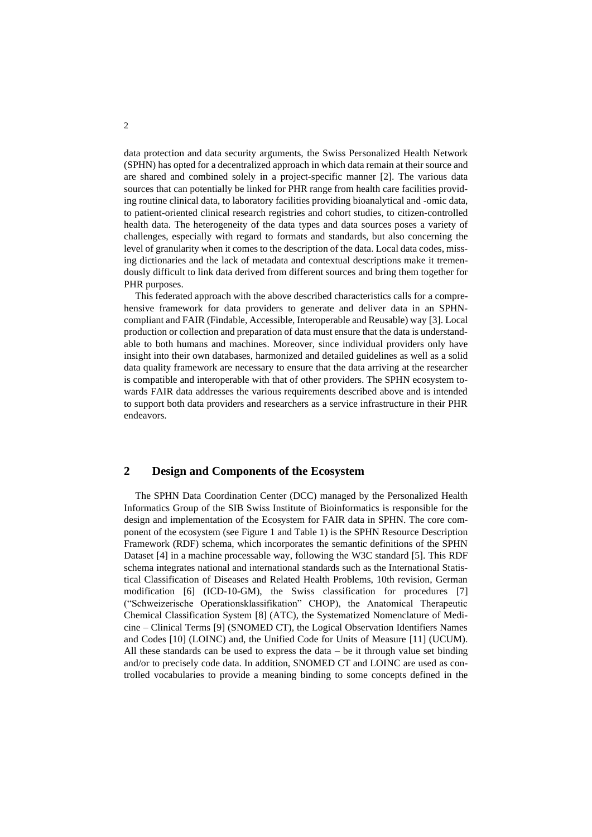data protection and data security arguments, the Swiss Personalized Health Network (SPHN) has opted for a decentralized approach in which data remain at their source and are shared and combined solely in a project-specific manner [2]. The various data sources that can potentially be linked for PHR range from health care facilities providing routine clinical data, to laboratory facilities providing bioanalytical and -omic data, to patient-oriented clinical research registries and cohort studies, to citizen-controlled health data. The heterogeneity of the data types and data sources poses a variety of challenges, especially with regard to formats and standards, but also concerning the level of granularity when it comes to the description of the data. Local data codes, missing dictionaries and the lack of metadata and contextual descriptions make it tremendously difficult to link data derived from different sources and bring them together for PHR purposes.

This federated approach with the above described characteristics calls for a comprehensive framework for data providers to generate and deliver data in an SPHNcompliant and FAIR (Findable, Accessible, Interoperable and Reusable) way [3]. Local production or collection and preparation of data must ensure that the data is understandable to both humans and machines. Moreover, since individual providers only have insight into their own databases, harmonized and detailed guidelines as well as a solid data quality framework are necessary to ensure that the data arriving at the researcher is compatible and interoperable with that of other providers. The SPHN ecosystem towards FAIR data addresses the various requirements described above and is intended to support both data providers and researchers as a service infrastructure in their PHR endeavors.

### **2 Design and Components of the Ecosystem**

The SPHN Data Coordination Center (DCC) managed by the Personalized Health Informatics Group of the SIB Swiss Institute of Bioinformatics is responsible for the design and implementation of the Ecosystem for FAIR data in SPHN. The core component of the ecosystem (see Figure 1 and Table 1) is the SPHN Resource Description Framework (RDF) schema, which incorporates the semantic definitions of the SPHN Dataset [4] in a machine processable way, following the W3C standard [5]. This RDF schema integrates national and international standards such as the International Statistical Classification of Diseases and Related Health Problems, 10th revision, German modification [6] (ICD-10-GM), the Swiss classification for procedures [7] ("Schweizerische Operationsklassifikation" CHOP), the Anatomical Therapeutic Chemical Classification System [8] (ATC), the Systematized Nomenclature of Medicine – Clinical Terms [9] (SNOMED CT), the Logical Observation Identifiers Names and Codes [10] (LOINC) and, the Unified Code for Units of Measure [11] (UCUM). All these standards can be used to express the data – be it through value set binding and/or to precisely code data. In addition, SNOMED CT and LOINC are used as controlled vocabularies to provide a meaning binding to some concepts defined in the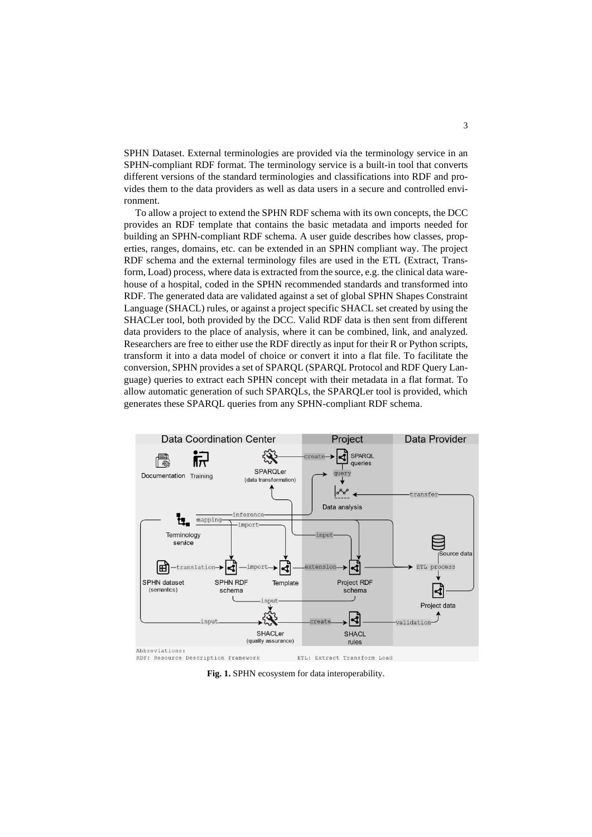SPHN Dataset. External terminologies are provided via the terminology service in an SPHN-compliant RDF format. The terminology service is a built-in tool that converts different versions of the standard terminologies and classifications into RDF and provides them to the data providers as well as data users in a secure and controlled environment.

To allow a project to extend the SPHN RDF schema with its own concepts, the DCC provides an RDF template that contains the basic metadata and imports needed for building an SPHN-compliant RDF schema. A user guide describes how classes, properties, ranges, domains, etc. can be extended in an SPHN compliant way. The project RDF schema and the external terminology files are used in the ETL (Extract, Transform, Load) process, where data is extracted from the source, e.g. the clinical data warehouse of a hospital, coded in the SPHN recommended standards and transformed into RDF. The generated data are validated against a set of global SPHN Shapes Constraint Language (SHACL) rules, or against a project specific SHACL set created by using the SHACLer tool, both provided by the DCC. Valid RDF data is then sent from different data providers to the place of analysis, where it can be combined, link, and analyzed. Researchers are free to either use the RDF directly as input for their R or Python scripts, transform it into a data model of choice or convert it into a flat file. To facilitate the conversion, SPHN provides a set of SPARQL (SPARQL Protocol and RDF Query Language) queries to extract each SPHN concept with their metadata in a flat format. To allow automatic generation of such SPARQLs, the SPARQLer tool is provided, which generates these SPARQL queries from any SPHN-compliant RDF schema.



**Fig. 1.** SPHN ecosystem for data interoperability.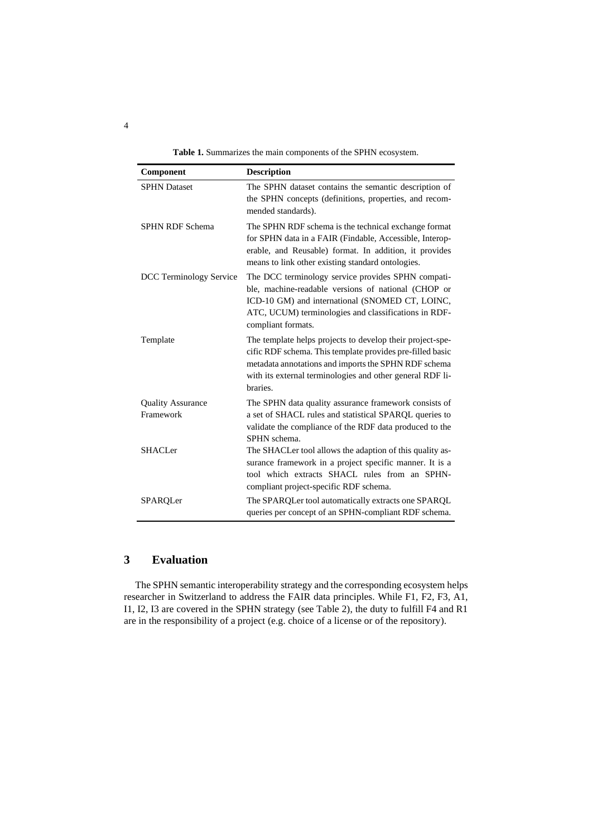**Table 1.** Summarizes the main components of the SPHN ecosystem.

| Component                             | <b>Description</b>                                                                                                                                                                                                                                      |
|---------------------------------------|---------------------------------------------------------------------------------------------------------------------------------------------------------------------------------------------------------------------------------------------------------|
| <b>SPHN Dataset</b>                   | The SPHN dataset contains the semantic description of<br>the SPHN concepts (definitions, properties, and recom-<br>mended standards).                                                                                                                   |
| <b>SPHN RDF Schema</b>                | The SPHN RDF schema is the technical exchange format<br>for SPHN data in a FAIR (Findable, Accessible, Interop-<br>erable, and Reusable) format. In addition, it provides<br>means to link other existing standard ontologies.                          |
| DCC Terminology Service               | The DCC terminology service provides SPHN compati-<br>ble, machine-readable versions of national (CHOP or<br>ICD-10 GM) and international (SNOMED CT, LOINC,<br>ATC, UCUM) terminologies and classifications in RDF-<br>compliant formats.              |
| Template                              | The template helps projects to develop their project-spe-<br>cific RDF schema. This template provides pre-filled basic<br>metadata annotations and imports the SPHN RDF schema<br>with its external terminologies and other general RDF li-<br>braries. |
| <b>Quality Assurance</b><br>Framework | The SPHN data quality assurance framework consists of<br>a set of SHACL rules and statistical SPARQL queries to<br>validate the compliance of the RDF data produced to the<br>SPHN schema.                                                              |
| <b>SHACLer</b>                        | The SHACLer tool allows the adaption of this quality as-<br>surance framework in a project specific manner. It is a<br>tool which extracts SHACL rules from an SPHN-<br>compliant project-specific RDF schema.                                          |
| SPARQLer                              | The SPARQLer tool automatically extracts one SPARQL<br>queries per concept of an SPHN-compliant RDF schema.                                                                                                                                             |

# **3 Evaluation**

The SPHN semantic interoperability strategy and the corresponding ecosystem helps researcher in Switzerland to address the FAIR data principles. While F1, F2, F3, A1, I1, I2, I3 are covered in the SPHN strategy (see Table 2), the duty to fulfill F4 and R1 are in the responsibility of a project (e.g. choice of a license or of the repository).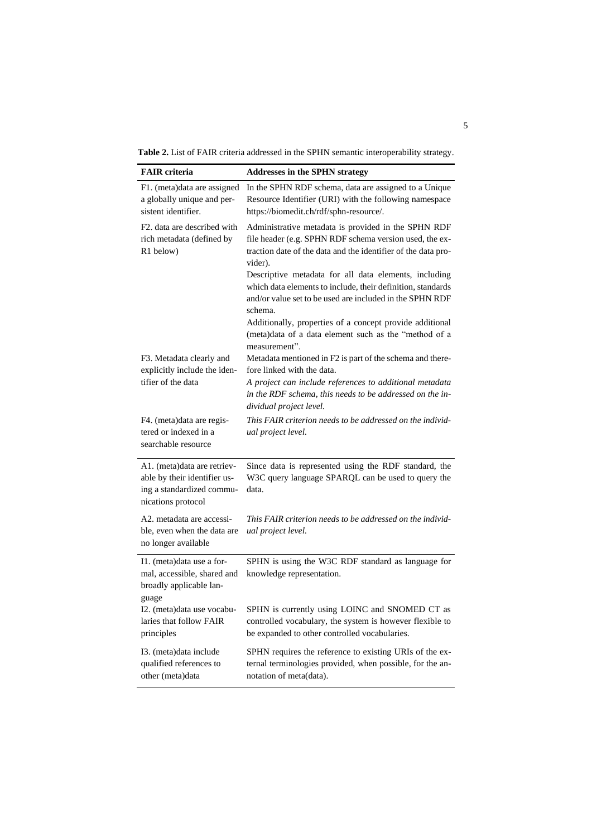**Table 2.** List of FAIR criteria addressed in the SPHN semantic interoperability strategy.

| <b>FAIR</b> criteria                                                                                           | <b>Addresses in the SPHN strategy</b>                                                                                                                                                       |
|----------------------------------------------------------------------------------------------------------------|---------------------------------------------------------------------------------------------------------------------------------------------------------------------------------------------|
| F1. (meta)data are assigned<br>a globally unique and per-<br>sistent identifier.                               | In the SPHN RDF schema, data are assigned to a Unique<br>Resource Identifier (URI) with the following namespace<br>https://biomedit.ch/rdf/sphn-resource/.                                  |
| F <sub>2</sub> . data are described with<br>rich metadata (defined by<br>R1 below)                             | Administrative metadata is provided in the SPHN RDF<br>file header (e.g. SPHN RDF schema version used, the ex-<br>traction date of the data and the identifier of the data pro-<br>vider).  |
|                                                                                                                | Descriptive metadata for all data elements, including<br>which data elements to include, their definition, standards<br>and/or value set to be used are included in the SPHN RDF<br>schema. |
|                                                                                                                | Additionally, properties of a concept provide additional<br>(meta)data of a data element such as the "method of a                                                                           |
| F3. Metadata clearly and<br>explicitly include the iden-                                                       | measurement".<br>Metadata mentioned in F2 is part of the schema and there-<br>fore linked with the data.                                                                                    |
| tifier of the data                                                                                             | A project can include references to additional metadata<br>in the RDF schema, this needs to be addressed on the in-<br>dividual project level.                                              |
| F4. (meta)data are regis-<br>tered or indexed in a<br>searchable resource                                      | This FAIR criterion needs to be addressed on the individ-<br>ual project level.                                                                                                             |
| A1. (meta)data are retriev-<br>able by their identifier us-<br>ing a standardized commu-<br>nications protocol | Since data is represented using the RDF standard, the<br>W3C query language SPARQL can be used to query the<br>data.                                                                        |
| A2. metadata are accessi-<br>ble, even when the data are<br>no longer available                                | This FAIR criterion needs to be addressed on the individ-<br>ual project level.                                                                                                             |
| I1. (meta) data use a for-<br>mal, accessible, shared and<br>broadly applicable lan-<br>guage                  | SPHN is using the W3C RDF standard as language for<br>knowledge representation.                                                                                                             |
| I2. (meta) data use vocabu-<br>laries that follow FAIR<br>principles                                           | SPHN is currently using LOINC and SNOMED CT as<br>controlled vocabulary, the system is however flexible to<br>be expanded to other controlled vocabularies.                                 |
| I3. (meta) data include<br>qualified references to<br>other (meta)data                                         | SPHN requires the reference to existing URIs of the ex-<br>ternal terminologies provided, when possible, for the an-<br>notation of meta(data).                                             |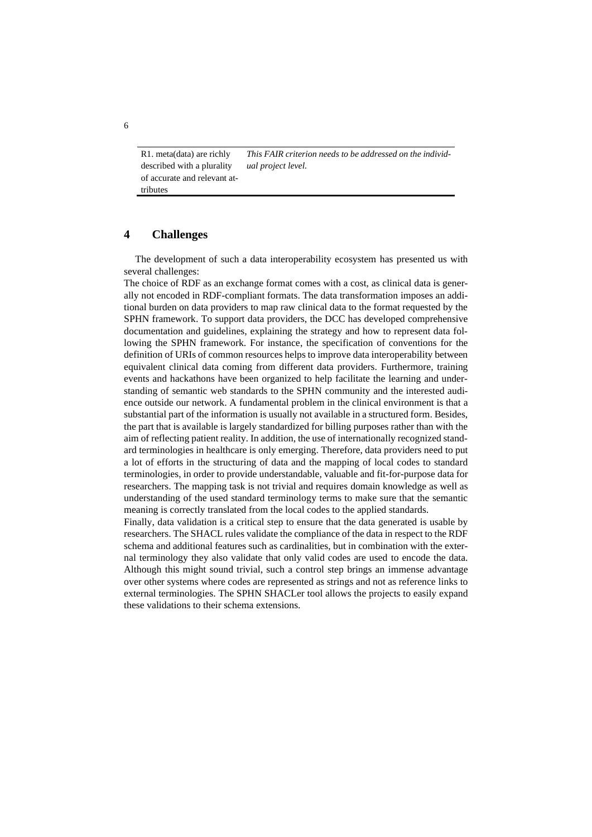R1. meta(data) are richly described with a plurality of accurate and relevant attributes *This FAIR criterion needs to be addressed on the individual project level.*

## **4 Challenges**

The development of such a data interoperability ecosystem has presented us with several challenges:

The choice of RDF as an exchange format comes with a cost, as clinical data is generally not encoded in RDF-compliant formats. The data transformation imposes an additional burden on data providers to map raw clinical data to the format requested by the SPHN framework. To support data providers, the DCC has developed comprehensive documentation and guidelines, explaining the strategy and how to represent data following the SPHN framework. For instance, the specification of conventions for the definition of URIs of common resources helps to improve data interoperability between equivalent clinical data coming from different data providers. Furthermore, training events and hackathons have been organized to help facilitate the learning and understanding of semantic web standards to the SPHN community and the interested audience outside our network. A fundamental problem in the clinical environment is that a substantial part of the information is usually not available in a structured form. Besides, the part that is available is largely standardized for billing purposes rather than with the aim of reflecting patient reality. In addition, the use of internationally recognized standard terminologies in healthcare is only emerging. Therefore, data providers need to put a lot of efforts in the structuring of data and the mapping of local codes to standard terminologies, in order to provide understandable, valuable and fit-for-purpose data for researchers. The mapping task is not trivial and requires domain knowledge as well as understanding of the used standard terminology terms to make sure that the semantic meaning is correctly translated from the local codes to the applied standards.

Finally, data validation is a critical step to ensure that the data generated is usable by researchers. The SHACL rules validate the compliance of the data in respect to the RDF schema and additional features such as cardinalities, but in combination with the external terminology they also validate that only valid codes are used to encode the data. Although this might sound trivial, such a control step brings an immense advantage over other systems where codes are represented as strings and not as reference links to external terminologies. The SPHN SHACLer tool allows the projects to easily expand these validations to their schema extensions.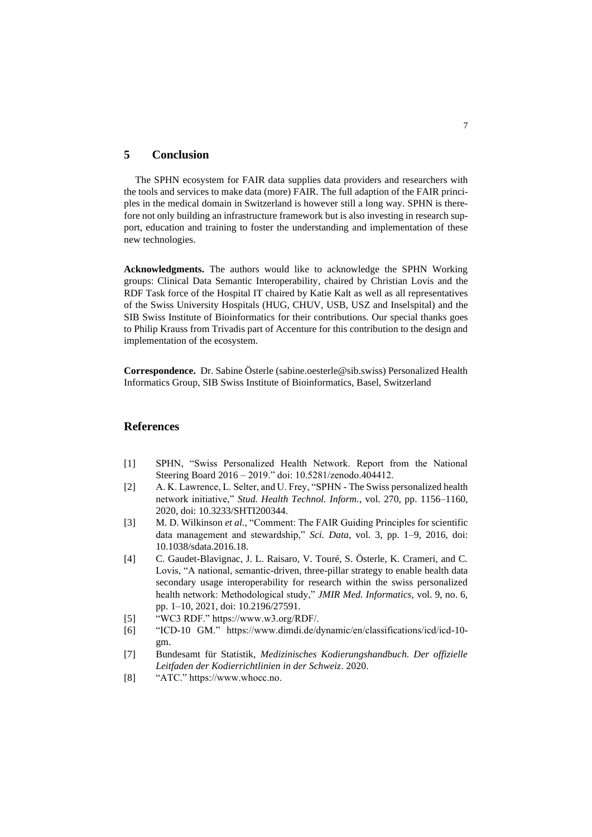### **5 Conclusion**

The SPHN ecosystem for FAIR data supplies data providers and researchers with the tools and services to make data (more) FAIR. The full adaption of the FAIR principles in the medical domain in Switzerland is however still a long way. SPHN is therefore not only building an infrastructure framework but is also investing in research support, education and training to foster the understanding and implementation of these new technologies.

**Acknowledgments.** The authors would like to acknowledge the SPHN Working groups: Clinical Data Semantic Interoperability, chaired by Christian Lovis and the RDF Task force of the Hospital IT chaired by Katie Kalt as well as all representatives of the Swiss University Hospitals (HUG, CHUV, USB, USZ and Inselspital) and the SIB Swiss Institute of Bioinformatics for their contributions. Our special thanks goes to Philip Krauss from Trivadis part of Accenture for this contribution to the design and implementation of the ecosystem.

**Correspondence.** Dr. Sabine Österle [\(sabine.oesterle@sib.swiss\)](mailto:sabine.oesterle@sib.swiss) Personalized Health Informatics Group, SIB Swiss Institute of Bioinformatics, Basel, Switzerland

### **References**

- [1] SPHN, "Swiss Personalized Health Network. Report from the National Steering Board 2016 – 2019." doi: 10.5281/zenodo.404412.
- [2] A. K. Lawrence, L. Selter, and U. Frey, "SPHN The Swiss personalized health network initiative," *Stud. Health Technol. Inform.*, vol. 270, pp. 1156–1160, 2020, doi: 10.3233/SHTI200344.
- [3] M. D. Wilkinson *et al.*, "Comment: The FAIR Guiding Principles for scientific data management and stewardship," *Sci. Data*, vol. 3, pp. 1–9, 2016, doi: 10.1038/sdata.2016.18.
- [4] C. Gaudet-Blavignac, J. L. Raisaro, V. Touré, S. Österle, K. Crameri, and C. Lovis, "A national, semantic-driven, three-pillar strategy to enable health data secondary usage interoperability for research within the swiss personalized health network: Methodological study," *JMIR Med. Informatics*, vol. 9, no. 6, pp. 1–10, 2021, doi: 10.2196/27591.
- [5] "WC3 RDF." https://www.w3.org/RDF/.
- [6] "ICD-10 GM." https://www.dimdi.de/dynamic/en/classifications/icd/icd-10 gm.
- [7] Bundesamt für Statistik, *Medizinisches Kodierungshandbuch. Der offizielle Leitfaden der Kodierrichtlinien in der Schweiz*. 2020.
- [8] "ATC." https://www.whocc.no.